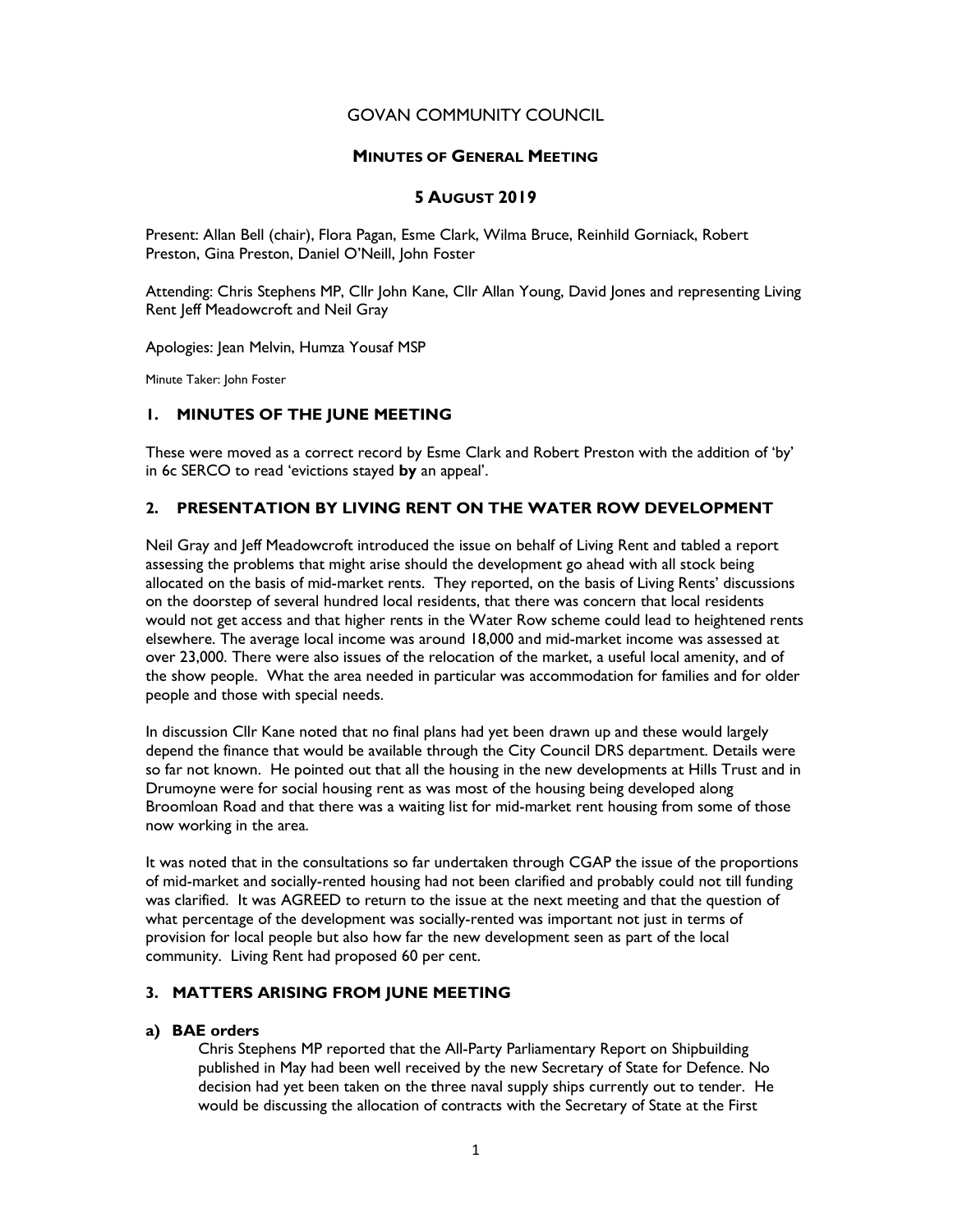# GOVAN COMMUNITY COUNCIL

## MINUTES OF GENERAL MEETING

# 5 AUGUST 2019

Present: Allan Bell (chair), Flora Pagan, Esme Clark, Wilma Bruce, Reinhild Gorniack, Robert Preston, Gina Preston, Daniel O'Neill, John Foster

Attending: Chris Stephens MP, Cllr John Kane, Cllr Allan Young, David Jones and representing Living Rent Jeff Meadowcroft and Neil Gray

Apologies: Jean Melvin, Humza Yousaf MSP

Minute Taker: John Foster

# 1. MINUTES OF THE JUNE MEETING

These were moved as a correct record by Esme Clark and Robert Preston with the addition of 'by' in 6c SERCO to read 'evictions stayed by an appeal'.

# 2. PRESENTATION BY LIVING RENT ON THE WATER ROW DEVELOPMENT

Neil Gray and Jeff Meadowcroft introduced the issue on behalf of Living Rent and tabled a report assessing the problems that might arise should the development go ahead with all stock being allocated on the basis of mid-market rents. They reported, on the basis of Living Rents' discussions on the doorstep of several hundred local residents, that there was concern that local residents would not get access and that higher rents in the Water Row scheme could lead to heightened rents elsewhere. The average local income was around 18,000 and mid-market income was assessed at over 23,000. There were also issues of the relocation of the market, a useful local amenity, and of the show people. What the area needed in particular was accommodation for families and for older people and those with special needs.

In discussion Cllr Kane noted that no final plans had yet been drawn up and these would largely depend the finance that would be available through the City Council DRS department. Details were so far not known. He pointed out that all the housing in the new developments at Hills Trust and in Drumoyne were for social housing rent as was most of the housing being developed along Broomloan Road and that there was a waiting list for mid-market rent housing from some of those now working in the area.

It was noted that in the consultations so far undertaken through CGAP the issue of the proportions of mid-market and socially-rented housing had not been clarified and probably could not till funding was clarified. It was AGREED to return to the issue at the next meeting and that the question of what percentage of the development was socially-rented was important not just in terms of provision for local people but also how far the new development seen as part of the local community. Living Rent had proposed 60 per cent.

# 3. MATTERS ARISING FROM JUNE MEETING

## a) BAE orders

Chris Stephens MP reported that the All-Party Parliamentary Report on Shipbuilding published in May had been well received by the new Secretary of State for Defence. No decision had yet been taken on the three naval supply ships currently out to tender. He would be discussing the allocation of contracts with the Secretary of State at the First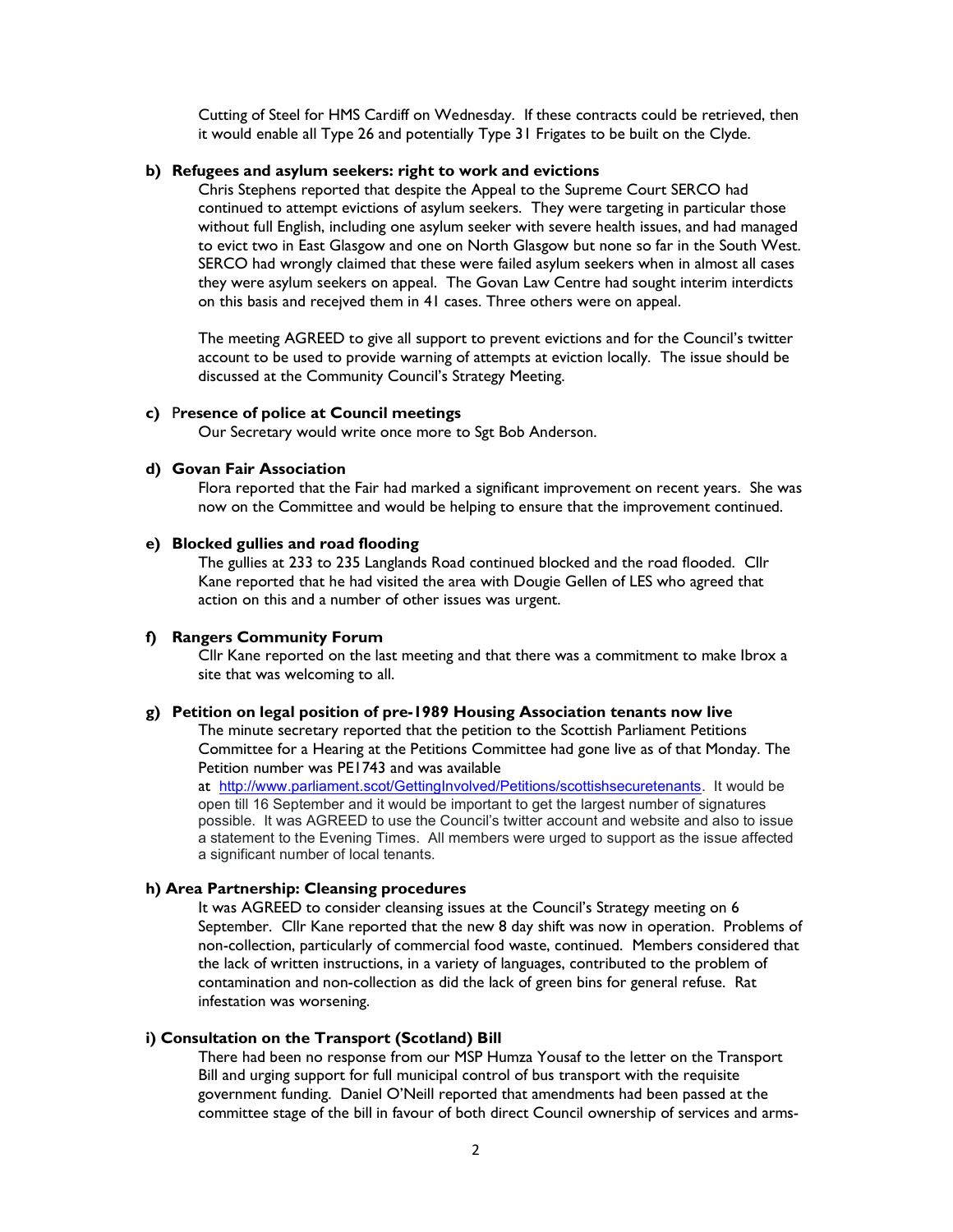Cutting of Steel for HMS Cardiff on Wednesday. If these contracts could be retrieved, then it would enable all Type 26 and potentially Type 31 Frigates to be built on the Clyde.

## b) Refugees and asylum seekers: right to work and evictions

Chris Stephens reported that despite the Appeal to the Supreme Court SERCO had continued to attempt evictions of asylum seekers. They were targeting in particular those without full English, including one asylum seeker with severe health issues, and had managed to evict two in East Glasgow and one on North Glasgow but none so far in the South West. SERCO had wrongly claimed that these were failed asylum seekers when in almost all cases they were asylum seekers on appeal. The Govan Law Centre had sought interim interdicts on this basis and recejved them in 41 cases. Three others were on appeal.

The meeting AGREED to give all support to prevent evictions and for the Council's twitter account to be used to provide warning of attempts at eviction locally. The issue should be discussed at the Community Council's Strategy Meeting.

### c) Presence of police at Council meetings

Our Secretary would write once more to Sgt Bob Anderson.

### d) Govan Fair Association

Flora reported that the Fair had marked a significant improvement on recent years. She was now on the Committee and would be helping to ensure that the improvement continued.

#### e) Blocked gullies and road flooding

The gullies at 233 to 235 Langlands Road continued blocked and the road flooded. Cllr Kane reported that he had visited the area with Dougie Gellen of LES who agreed that action on this and a number of other issues was urgent.

#### f) Rangers Community Forum

Cllr Kane reported on the last meeting and that there was a commitment to make Ibrox a site that was welcoming to all.

### g) Petition on legal position of pre-1989 Housing Association tenants now live

The minute secretary reported that the petition to the Scottish Parliament Petitions Committee for a Hearing at the Petitions Committee had gone live as of that Monday. The Petition number was PE1743 and was available

at http://www.parliament.scot/GettingInvolved/Petitions/scottishsecuretenants. It would be open till 16 September and it would be important to get the largest number of signatures possible. It was AGREED to use the Council's twitter account and website and also to issue a statement to the Evening Times. All members were urged to support as the issue affected a significant number of local tenants.

### h) Area Partnership: Cleansing procedures

It was AGREED to consider cleansing issues at the Council's Strategy meeting on 6 September. Cllr Kane reported that the new 8 day shift was now in operation. Problems of non-collection, particularly of commercial food waste, continued. Members considered that the lack of written instructions, in a variety of languages, contributed to the problem of contamination and non-collection as did the lack of green bins for general refuse. Rat infestation was worsening.

#### i) Consultation on the Transport (Scotland) Bill

There had been no response from our MSP Humza Yousaf to the letter on the Transport Bill and urging support for full municipal control of bus transport with the requisite government funding. Daniel O'Neill reported that amendments had been passed at the committee stage of the bill in favour of both direct Council ownership of services and arms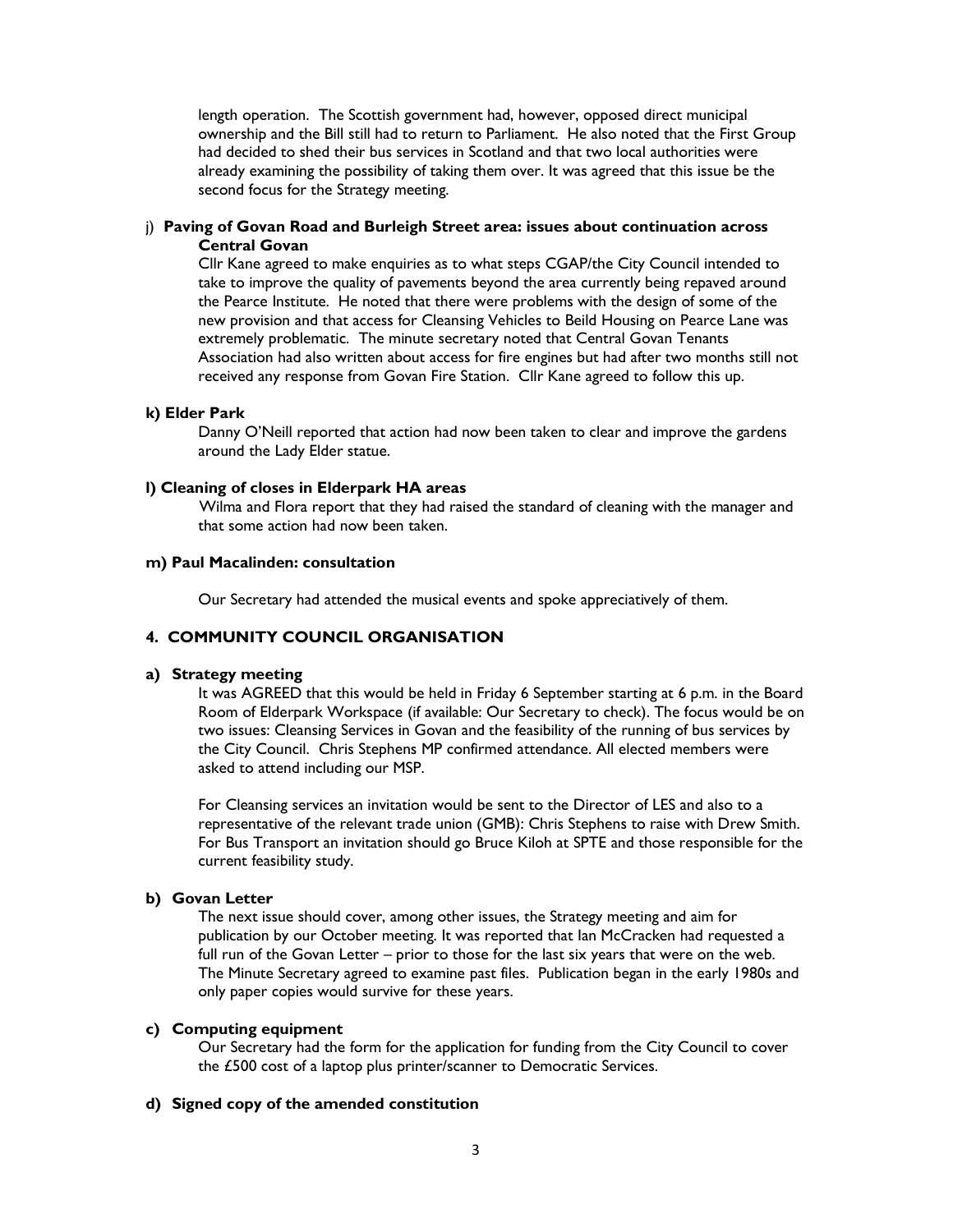length operation. The Scottish government had, however, opposed direct municipal ownership and the Bill still had to return to Parliament. He also noted that the First Group had decided to shed their bus services in Scotland and that two local authorities were already examining the possibility of taking them over. It was agreed that this issue be the second focus for the Strategy meeting.

## j) Paving of Govan Road and Burleigh Street area: issues about continuation across Central Govan

Cllr Kane agreed to make enquiries as to what steps CGAP/the City Council intended to take to improve the quality of pavements beyond the area currently being repaved around the Pearce Institute. He noted that there were problems with the design of some of the new provision and that access for Cleansing Vehicles to Beild Housing on Pearce Lane was extremely problematic. The minute secretary noted that Central Govan Tenants Association had also written about access for fire engines but had after two months still not received any response from Govan Fire Station. Cllr Kane agreed to follow this up.

## k) Elder Park

Danny O'Neill reported that action had now been taken to clear and improve the gardens around the Lady Elder statue.

#### l) Cleaning of closes in Elderpark HA areas

Wilma and Flora report that they had raised the standard of cleaning with the manager and that some action had now been taken.

## m) Paul Macalinden: consultation

Our Secretary had attended the musical events and spoke appreciatively of them.

## 4. COMMUNITY COUNCIL ORGANISATION

# a) Strategy meeting

It was AGREED that this would be held in Friday 6 September starting at 6 p.m. in the Board Room of Elderpark Workspace (if available: Our Secretary to check). The focus would be on two issues: Cleansing Services in Govan and the feasibility of the running of bus services by the City Council. Chris Stephens MP confirmed attendance. All elected members were asked to attend including our MSP.

For Cleansing services an invitation would be sent to the Director of LES and also to a representative of the relevant trade union (GMB): Chris Stephens to raise with Drew Smith. For Bus Transport an invitation should go Bruce Kiloh at SPTE and those responsible for the current feasibility study.

# b) Govan Letter

The next issue should cover, among other issues, the Strategy meeting and aim for publication by our October meeting. It was reported that Ian McCracken had requested a full run of the Govan Letter – prior to those for the last six years that were on the web. The Minute Secretary agreed to examine past files. Publication began in the early 1980s and only paper copies would survive for these years.

#### c) Computing equipment

Our Secretary had the form for the application for funding from the City Council to cover the £500 cost of a laptop plus printer/scanner to Democratic Services.

# d) Signed copy of the amended constitution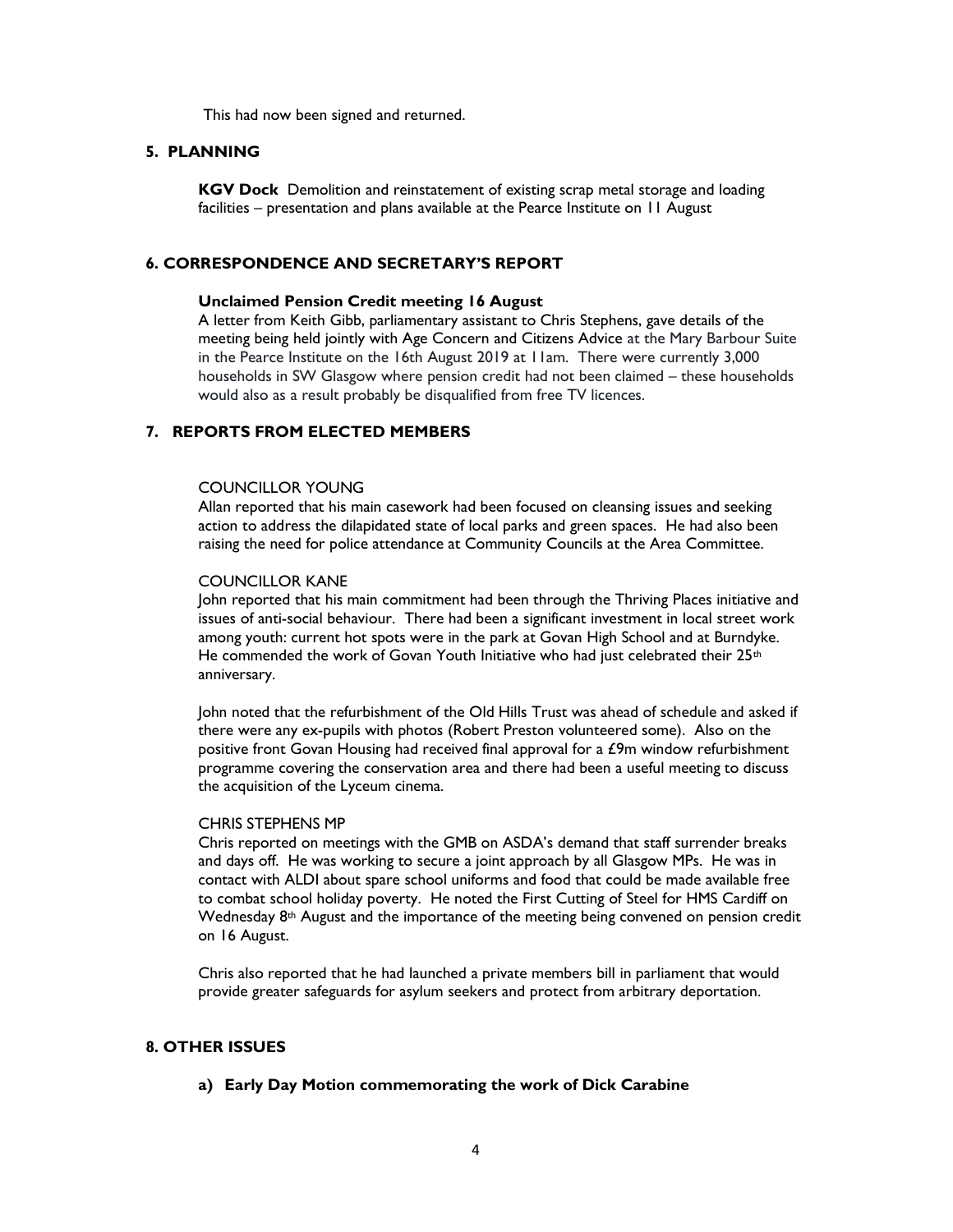This had now been signed and returned.

### 5. PLANNING

KGV Dock Demolition and reinstatement of existing scrap metal storage and loading facilities – presentation and plans available at the Pearce Institute on 11 August

### 6. CORRESPONDENCE AND SECRETARY'S REPORT

#### Unclaimed Pension Credit meeting 16 August

A letter from Keith Gibb, parliamentary assistant to Chris Stephens, gave details of the meeting being held jointly with Age Concern and Citizens Advice at the Mary Barbour Suite in the Pearce Institute on the 16th August 2019 at 11am. There were currently 3,000 households in SW Glasgow where pension credit had not been claimed – these households would also as a result probably be disqualified from free TV licences.

## 7. REPORTS FROM ELECTED MEMBERS

#### COUNCILLOR YOUNG

 Allan reported that his main casework had been focused on cleansing issues and seeking action to address the dilapidated state of local parks and green spaces. He had also been raising the need for police attendance at Community Councils at the Area Committee.

### COUNCILLOR KANE

John reported that his main commitment had been through the Thriving Places initiative and issues of anti-social behaviour. There had been a significant investment in local street work among youth: current hot spots were in the park at Govan High School and at Burndyke. He commended the work of Govan Youth Initiative who had just celebrated their  $25<sup>th</sup>$ anniversary.

John noted that the refurbishment of the Old Hills Trust was ahead of schedule and asked if there were any ex-pupils with photos (Robert Preston volunteered some). Also on the positive front Govan Housing had received final approval for a £9m window refurbishment programme covering the conservation area and there had been a useful meeting to discuss the acquisition of the Lyceum cinema.

#### CHRIS STEPHENS MP

Chris reported on meetings with the GMB on ASDA's demand that staff surrender breaks and days off. He was working to secure a joint approach by all Glasgow MPs. He was in contact with ALDI about spare school uniforms and food that could be made available free to combat school holiday poverty. He noted the First Cutting of Steel for HMS Cardiff on Wednesday 8<sup>th</sup> August and the importance of the meeting being convened on pension credit on 16 August.

Chris also reported that he had launched a private members bill in parliament that would provide greater safeguards for asylum seekers and protect from arbitrary deportation.

# 8. OTHER ISSUES

#### a) Early Day Motion commemorating the work of Dick Carabine